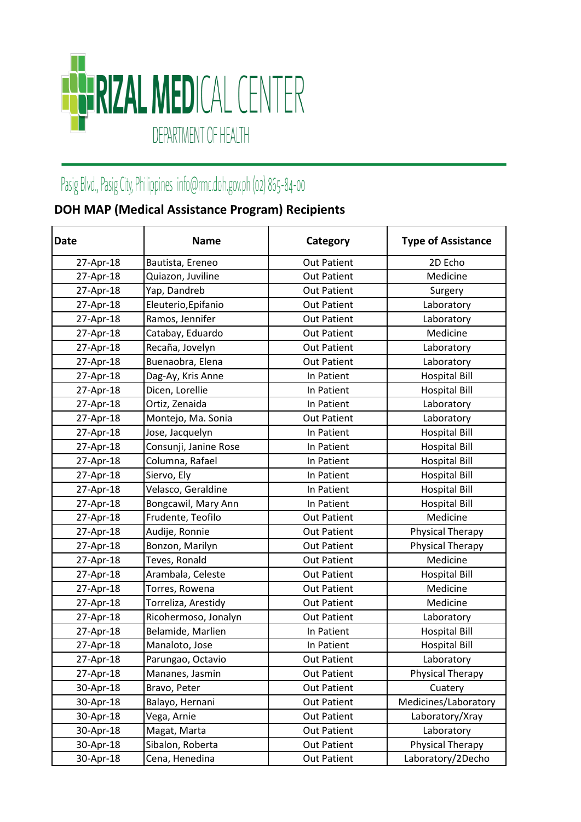

## Pasig Blvd., Pasig City, Philippines info@rmc.doh.gov.ph (02) 865-84-00

## **DOH MAP (Medical Assistance Program) Recipients**

| <b>Date</b> | <b>Name</b>           | Category           | <b>Type of Assistance</b> |
|-------------|-----------------------|--------------------|---------------------------|
| 27-Apr-18   | Bautista, Ereneo      | <b>Out Patient</b> | 2D Echo                   |
| 27-Apr-18   | Quiazon, Juviline     | <b>Out Patient</b> | Medicine                  |
| 27-Apr-18   | Yap, Dandreb          | <b>Out Patient</b> | Surgery                   |
| 27-Apr-18   | Eleuterio, Epifanio   | <b>Out Patient</b> | Laboratory                |
| 27-Apr-18   | Ramos, Jennifer       | <b>Out Patient</b> | Laboratory                |
| 27-Apr-18   | Catabay, Eduardo      | <b>Out Patient</b> | Medicine                  |
| 27-Apr-18   | Recaña, Jovelyn       | <b>Out Patient</b> | Laboratory                |
| 27-Apr-18   | Buenaobra, Elena      | <b>Out Patient</b> | Laboratory                |
| 27-Apr-18   | Dag-Ay, Kris Anne     | In Patient         | <b>Hospital Bill</b>      |
| 27-Apr-18   | Dicen, Lorellie       | In Patient         | <b>Hospital Bill</b>      |
| 27-Apr-18   | Ortiz, Zenaida        | In Patient         | Laboratory                |
| 27-Apr-18   | Montejo, Ma. Sonia    | <b>Out Patient</b> | Laboratory                |
| 27-Apr-18   | Jose, Jacquelyn       | In Patient         | <b>Hospital Bill</b>      |
| 27-Apr-18   | Consunji, Janine Rose | In Patient         | <b>Hospital Bill</b>      |
| 27-Apr-18   | Columna, Rafael       | In Patient         | <b>Hospital Bill</b>      |
| 27-Apr-18   | Siervo, Ely           | In Patient         | <b>Hospital Bill</b>      |
| 27-Apr-18   | Velasco, Geraldine    | In Patient         | <b>Hospital Bill</b>      |
| 27-Apr-18   | Bongcawil, Mary Ann   | In Patient         | <b>Hospital Bill</b>      |
| 27-Apr-18   | Frudente, Teofilo     | <b>Out Patient</b> | Medicine                  |
| 27-Apr-18   | Audije, Ronnie        | <b>Out Patient</b> | Physical Therapy          |
| 27-Apr-18   | Bonzon, Marilyn       | <b>Out Patient</b> | <b>Physical Therapy</b>   |
| 27-Apr-18   | Teves, Ronald         | <b>Out Patient</b> | Medicine                  |
| 27-Apr-18   | Arambala, Celeste     | <b>Out Patient</b> | <b>Hospital Bill</b>      |
| 27-Apr-18   | Torres, Rowena        | <b>Out Patient</b> | Medicine                  |
| 27-Apr-18   | Torreliza, Arestidy   | <b>Out Patient</b> | Medicine                  |
| 27-Apr-18   | Ricohermoso, Jonalyn  | <b>Out Patient</b> | Laboratory                |
| 27-Apr-18   | Belamide, Marlien     | In Patient         | <b>Hospital Bill</b>      |
| 27-Apr-18   | Manaloto, Jose        | In Patient         | <b>Hospital Bill</b>      |
| 27-Apr-18   | Parungao, Octavio     | <b>Out Patient</b> | Laboratory                |
| 27-Apr-18   | Mananes, Jasmin       | <b>Out Patient</b> | Physical Therapy          |
| 30-Apr-18   | Bravo, Peter          | <b>Out Patient</b> | Cuatery                   |
| 30-Apr-18   | Balayo, Hernani       | <b>Out Patient</b> | Medicines/Laboratory      |
| 30-Apr-18   | Vega, Arnie           | <b>Out Patient</b> | Laboratory/Xray           |
| 30-Apr-18   | Magat, Marta          | <b>Out Patient</b> | Laboratory                |
| 30-Apr-18   | Sibalon, Roberta      | <b>Out Patient</b> | Physical Therapy          |
| 30-Apr-18   | Cena, Henedina        | <b>Out Patient</b> | Laboratory/2Decho         |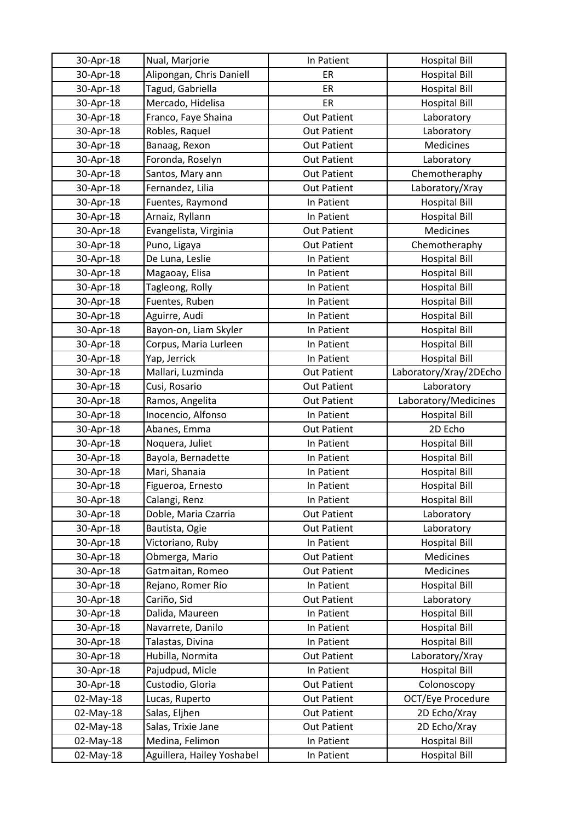| 30-Apr-18 | Nual, Marjorie             | In Patient         | <b>Hospital Bill</b>   |
|-----------|----------------------------|--------------------|------------------------|
| 30-Apr-18 | Alipongan, Chris Daniell   | ER                 | <b>Hospital Bill</b>   |
| 30-Apr-18 | Tagud, Gabriella           | ER                 | <b>Hospital Bill</b>   |
| 30-Apr-18 | Mercado, Hidelisa          | ER                 | <b>Hospital Bill</b>   |
| 30-Apr-18 | Franco, Faye Shaina        | <b>Out Patient</b> | Laboratory             |
| 30-Apr-18 | Robles, Raquel             | <b>Out Patient</b> | Laboratory             |
| 30-Apr-18 | Banaag, Rexon              | <b>Out Patient</b> | Medicines              |
| 30-Apr-18 | Foronda, Roselyn           | <b>Out Patient</b> | Laboratory             |
| 30-Apr-18 | Santos, Mary ann           | <b>Out Patient</b> | Chemotheraphy          |
| 30-Apr-18 | Fernandez, Lilia           | <b>Out Patient</b> | Laboratory/Xray        |
| 30-Apr-18 | Fuentes, Raymond           | In Patient         | <b>Hospital Bill</b>   |
| 30-Apr-18 | Arnaiz, Ryllann            | In Patient         | <b>Hospital Bill</b>   |
| 30-Apr-18 | Evangelista, Virginia      | <b>Out Patient</b> | Medicines              |
| 30-Apr-18 | Puno, Ligaya               | <b>Out Patient</b> | Chemotheraphy          |
| 30-Apr-18 | De Luna, Leslie            | In Patient         | <b>Hospital Bill</b>   |
| 30-Apr-18 | Magaoay, Elisa             | In Patient         | <b>Hospital Bill</b>   |
| 30-Apr-18 | Tagleong, Rolly            | In Patient         | <b>Hospital Bill</b>   |
| 30-Apr-18 | Fuentes, Ruben             | In Patient         | <b>Hospital Bill</b>   |
| 30-Apr-18 | Aguirre, Audi              | In Patient         | <b>Hospital Bill</b>   |
| 30-Apr-18 | Bayon-on, Liam Skyler      | In Patient         | <b>Hospital Bill</b>   |
| 30-Apr-18 | Corpus, Maria Lurleen      | In Patient         | <b>Hospital Bill</b>   |
| 30-Apr-18 | Yap, Jerrick               | In Patient         | <b>Hospital Bill</b>   |
| 30-Apr-18 | Mallari, Luzminda          | <b>Out Patient</b> | Laboratory/Xray/2DEcho |
| 30-Apr-18 | Cusi, Rosario              | <b>Out Patient</b> | Laboratory             |
| 30-Apr-18 | Ramos, Angelita            | <b>Out Patient</b> | Laboratory/Medicines   |
| 30-Apr-18 | Inocencio, Alfonso         | In Patient         | <b>Hospital Bill</b>   |
| 30-Apr-18 | Abanes, Emma               | <b>Out Patient</b> | 2D Echo                |
| 30-Apr-18 | Noquera, Juliet            | In Patient         | <b>Hospital Bill</b>   |
| 30-Apr-18 | Bayola, Bernadette         | In Patient         | <b>Hospital Bill</b>   |
| 30-Apr-18 | Mari, Shanaia              | In Patient         | <b>Hospital Bill</b>   |
| 30-Apr-18 | Figueroa, Ernesto          | In Patient         | <b>Hospital Bill</b>   |
| 30-Apr-18 | Calangi, Renz              | In Patient         | <b>Hospital Bill</b>   |
| 30-Apr-18 | Doble, Maria Czarria       | <b>Out Patient</b> | Laboratory             |
| 30-Apr-18 | Bautista, Ogie             | <b>Out Patient</b> | Laboratory             |
| 30-Apr-18 | Victoriano, Ruby           | In Patient         | <b>Hospital Bill</b>   |
| 30-Apr-18 | Obmerga, Mario             | <b>Out Patient</b> | Medicines              |
| 30-Apr-18 | Gatmaitan, Romeo           | <b>Out Patient</b> | Medicines              |
| 30-Apr-18 | Rejano, Romer Rio          | In Patient         | <b>Hospital Bill</b>   |
| 30-Apr-18 | Cariño, Sid                | <b>Out Patient</b> | Laboratory             |
| 30-Apr-18 | Dalida, Maureen            | In Patient         | <b>Hospital Bill</b>   |
| 30-Apr-18 | Navarrete, Danilo          | In Patient         | <b>Hospital Bill</b>   |
| 30-Apr-18 | Talastas, Divina           | In Patient         | <b>Hospital Bill</b>   |
| 30-Apr-18 | Hubilla, Normita           | <b>Out Patient</b> | Laboratory/Xray        |
| 30-Apr-18 | Pajudpud, Micle            | In Patient         | <b>Hospital Bill</b>   |
| 30-Apr-18 | Custodio, Gloria           | <b>Out Patient</b> | Colonoscopy            |
| 02-May-18 | Lucas, Ruperto             | <b>Out Patient</b> | OCT/Eye Procedure      |
| 02-May-18 | Salas, Eljhen              | <b>Out Patient</b> | 2D Echo/Xray           |
| 02-May-18 | Salas, Trixie Jane         | <b>Out Patient</b> | 2D Echo/Xray           |
| 02-May-18 | Medina, Felimon            | In Patient         | <b>Hospital Bill</b>   |
| 02-May-18 | Aguillera, Hailey Yoshabel | In Patient         | <b>Hospital Bill</b>   |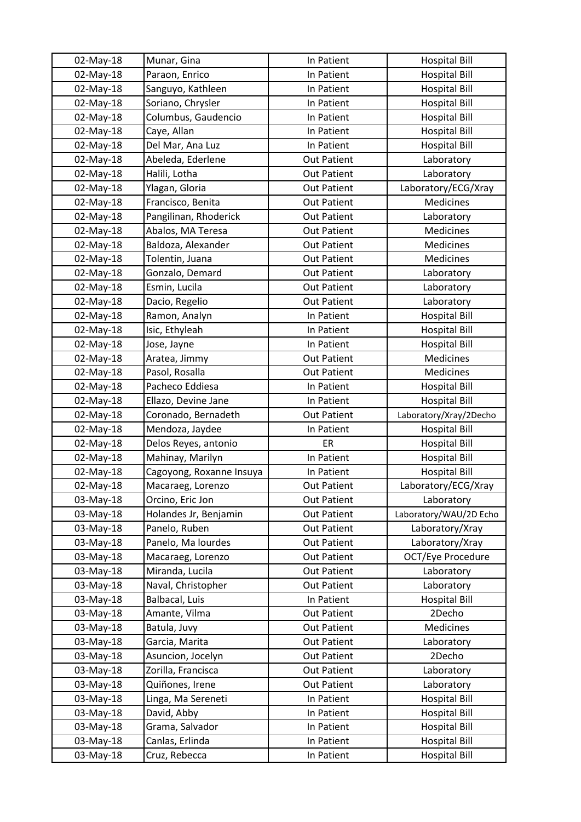| 02-May-18 | Munar, Gina              | In Patient         | <b>Hospital Bill</b>                         |
|-----------|--------------------------|--------------------|----------------------------------------------|
| 02-May-18 | Paraon, Enrico           | In Patient         | <b>Hospital Bill</b>                         |
| 02-May-18 | Sanguyo, Kathleen        | In Patient         | <b>Hospital Bill</b>                         |
| 02-May-18 | Soriano, Chrysler        | In Patient         | <b>Hospital Bill</b>                         |
| 02-May-18 | Columbus, Gaudencio      | In Patient         | <b>Hospital Bill</b>                         |
| 02-May-18 | Caye, Allan              | In Patient         | <b>Hospital Bill</b>                         |
| 02-May-18 | Del Mar, Ana Luz         | In Patient         | <b>Hospital Bill</b>                         |
| 02-May-18 | Abeleda, Ederlene        | <b>Out Patient</b> | Laboratory                                   |
| 02-May-18 | Halili, Lotha            | <b>Out Patient</b> | Laboratory                                   |
| 02-May-18 | Ylagan, Gloria           | <b>Out Patient</b> | Laboratory/ECG/Xray                          |
| 02-May-18 | Francisco, Benita        | <b>Out Patient</b> | Medicines                                    |
| 02-May-18 | Pangilinan, Rhoderick    | <b>Out Patient</b> | Laboratory                                   |
| 02-May-18 | Abalos, MA Teresa        | <b>Out Patient</b> | Medicines                                    |
| 02-May-18 | Baldoza, Alexander       | <b>Out Patient</b> | Medicines                                    |
| 02-May-18 | Tolentin, Juana          | <b>Out Patient</b> | Medicines                                    |
| 02-May-18 | Gonzalo, Demard          | <b>Out Patient</b> | Laboratory                                   |
| 02-May-18 | Esmin, Lucila            | <b>Out Patient</b> | Laboratory                                   |
| 02-May-18 | Dacio, Regelio           | <b>Out Patient</b> | Laboratory                                   |
| 02-May-18 | Ramon, Analyn            | In Patient         | <b>Hospital Bill</b>                         |
| 02-May-18 | Isic, Ethyleah           | In Patient         | <b>Hospital Bill</b>                         |
| 02-May-18 | Jose, Jayne              | In Patient         | <b>Hospital Bill</b>                         |
| 02-May-18 | Aratea, Jimmy            | <b>Out Patient</b> | Medicines                                    |
| 02-May-18 | Pasol, Rosalla           | <b>Out Patient</b> | Medicines                                    |
| 02-May-18 | Pacheco Eddiesa          | In Patient         | <b>Hospital Bill</b>                         |
| 02-May-18 | Ellazo, Devine Jane      | In Patient         | <b>Hospital Bill</b>                         |
| 02-May-18 | Coronado, Bernadeth      | <b>Out Patient</b> | Laboratory/Xray/2Decho                       |
| 02-May-18 | Mendoza, Jaydee          | In Patient         | <b>Hospital Bill</b>                         |
| 02-May-18 | Delos Reyes, antonio     | ER                 | <b>Hospital Bill</b>                         |
| 02-May-18 | Mahinay, Marilyn         | In Patient         | <b>Hospital Bill</b>                         |
| 02-May-18 | Cagoyong, Roxanne Insuya | In Patient         | <b>Hospital Bill</b>                         |
| 02-May-18 | Macaraeg, Lorenzo        | <b>Out Patient</b> | Laboratory/ECG/Xray                          |
| 03-May-18 | Orcino, Eric Jon         | <b>Out Patient</b> | Laboratory                                   |
| 03-May-18 | Holandes Jr, Benjamin    | <b>Out Patient</b> | Laboratory/WAU/2D Echo                       |
| 03-May-18 | Panelo, Ruben            | <b>Out Patient</b> | Laboratory/Xray                              |
| 03-May-18 | Panelo, Ma lourdes       | <b>Out Patient</b> | Laboratory/Xray                              |
| 03-May-18 | Macaraeg, Lorenzo        | <b>Out Patient</b> | OCT/Eye Procedure                            |
| 03-May-18 | Miranda, Lucila          | <b>Out Patient</b> | Laboratory                                   |
| 03-May-18 | Naval, Christopher       | <b>Out Patient</b> | Laboratory                                   |
| 03-May-18 | Balbacal, Luis           | In Patient         | <b>Hospital Bill</b>                         |
| 03-May-18 | Amante, Vilma            | <b>Out Patient</b> | 2Decho                                       |
| 03-May-18 | Batula, Juvy             | <b>Out Patient</b> | Medicines                                    |
| 03-May-18 | Garcia, Marita           | <b>Out Patient</b> | Laboratory                                   |
| 03-May-18 | Asuncion, Jocelyn        | <b>Out Patient</b> | 2Decho                                       |
| 03-May-18 | Zorilla, Francisca       | <b>Out Patient</b> | Laboratory                                   |
| 03-May-18 | Quiñones, Irene          | <b>Out Patient</b> | Laboratory                                   |
| 03-May-18 |                          | In Patient         | <b>Hospital Bill</b>                         |
|           | Linga, Ma Sereneti       |                    |                                              |
| 03-May-18 | David, Abby              | In Patient         | <b>Hospital Bill</b>                         |
| 03-May-18 | Grama, Salvador          | In Patient         | <b>Hospital Bill</b>                         |
| 03-May-18 | Canlas, Erlinda          | In Patient         | <b>Hospital Bill</b><br><b>Hospital Bill</b> |